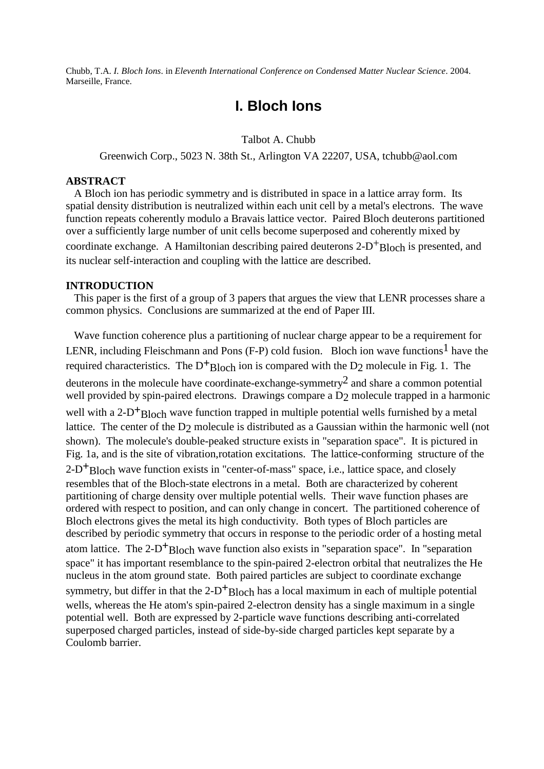Chubb, T.A. *I. Bloch Ions*. in *Eleventh International Conference on Condensed Matter Nuclear Science*. 2004. Marseille, France.

# **I. Bloch Ions**

Talbot A. Chubb

Greenwich Corp., 5023 N. 38th St., Arlington VA 22207, USA, tchubb@aol.com

#### **ABSTRACT**

A Bloch ion has periodic symmetry and is distributed in space in a lattice array form. Its spatial density distribution is neutralized within each unit cell by a metal's electrons. The wave function repeats coherently modulo a Bravais lattice vector. Paired Bloch deuterons partitioned over a sufficiently large number of unit cells become superposed and coherently mixed by coordinate exchange. A Hamiltonian describing paired deuterons  $2-D^{+}B$ loch is presented, and its nuclear self-interaction and coupling with the lattice are described.

## **INTRODUCTION**

This paper is the first of a group of 3 papers that argues the view that LENR processes share a common physics. Conclusions are summarized at the end of Paper III.

Wave function coherence plus a partitioning of nuclear charge appear to be a requirement for LENR, including Fleischmann and Pons  $(F-P)$  cold fusion. Bloch ion wave functions<sup>1</sup> have the required characteristics. The  $D^+$ Bloch ion is compared with the D<sub>2</sub> molecule in Fig. 1. The deuterons in the molecule have coordinate-exchange-symmetry<sup>2</sup> and share a common potential well provided by spin-paired electrons. Drawings compare a D<sub>2</sub> molecule trapped in a harmonic well with a 2-D<sup>+</sup>Bloch wave function trapped in multiple potential wells furnished by a metal lattice. The center of the D2 molecule is distributed as a Gaussian within the harmonic well (not shown). The molecule's double-peaked structure exists in "separation space". It is pictured in Fig. 1a, and is the site of vibration,rotation excitations. The lattice-conforming structure of the  $2-D+$ Bloch wave function exists in "center-of-mass" space, i.e., lattice space, and closely resembles that of the Bloch-state electrons in a metal. Both are characterized by coherent partitioning of charge density over multiple potential wells. Their wave function phases are ordered with respect to position, and can only change in concert. The partitioned coherence of Bloch electrons gives the metal its high conductivity. Both types of Bloch particles are described by periodic symmetry that occurs in response to the periodic order of a hosting metal atom lattice. The  $2-D+$ Bloch wave function also exists in "separation space". In "separation space" it has important resemblance to the spin-paired 2-electron orbital that neutralizes the He nucleus in the atom ground state. Both paired particles are subject to coordinate exchange symmetry, but differ in that the  $2-D^{+}Bloch$  has a local maximum in each of multiple potential wells, whereas the He atom's spin-paired 2-electron density has a single maximum in a single potential well. Both are expressed by 2-particle wave functions describing anti-correlated superposed charged particles, instead of side-by-side charged particles kept separate by a Coulomb barrier.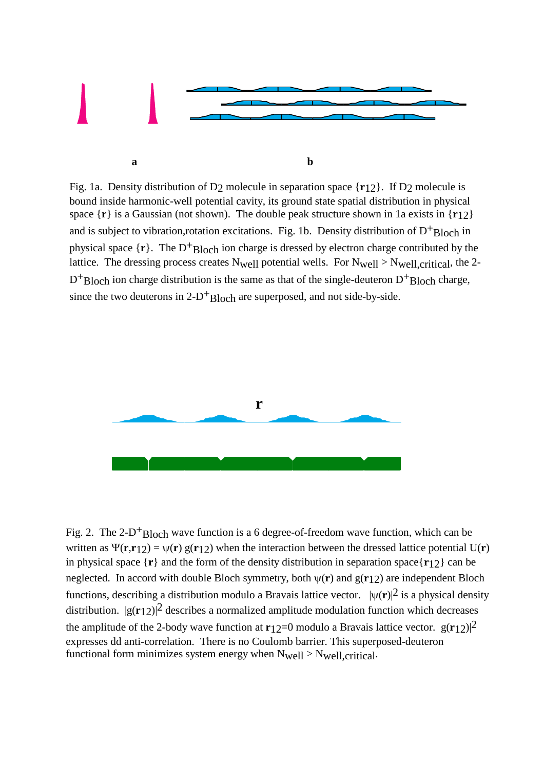

Fig. 1a. Density distribution of D2 molecule in separation space {**r**12}. If D2 molecule is bound inside harmonic-well potential cavity, its ground state spatial distribution in physical space {**r**} is a Gaussian (not shown). The double peak structure shown in 1a exists in {**r**12} and is subject to vibration, rotation excitations. Fig. 1b. Density distribution of  $D^+$ Bloch in physical space  $\{r\}$ . The D<sup>+</sup>Bloch ion charge is dressed by electron charge contributed by the lattice. The dressing process creates  $Nwell$  potential wells. For  $Nwell > Nwell$ , critical, the 2- $D^+$ Bloch ion charge distribution is the same as that of the single-deuteron  $D^+$ Bloch charge, since the two deuterons in  $2-D^{+}Bloch$  are superposed, and not side-by-side.



Fig. 2. The 2-D<sup>+</sup>Bloch wave function is a 6 degree-of-freedom wave function, which can be written as  $\Psi(\mathbf{r},\mathbf{r}_1) = \psi(\mathbf{r}) g(\mathbf{r}_1)$  when the interaction between the dressed lattice potential U(**r**) in physical space {**r**} and the form of the density distribution in separation space{**r**12} can be neglected. In accord with double Bloch symmetry, both  $\psi(\mathbf{r})$  and  $g(\mathbf{r}_1)$  are independent Bloch functions, describing a distribution modulo a Bravais lattice vector.  $|\psi(\mathbf{r})|^2$  is a physical density distribution.  $|g(\mathbf{r}_1|)$ <sup>2</sup> describes a normalized amplitude modulation function which decreases the amplitude of the 2-body wave function at **r**<sub>12</sub>=0 modulo a Bravais lattice vector.  $g(\mathbf{r}_1,2)$ <sup>2</sup> expresses dd anti-correlation. There is no Coulomb barrier. This superposed-deuteron functional form minimizes system energy when  $Nwell > Nwell, critical$ .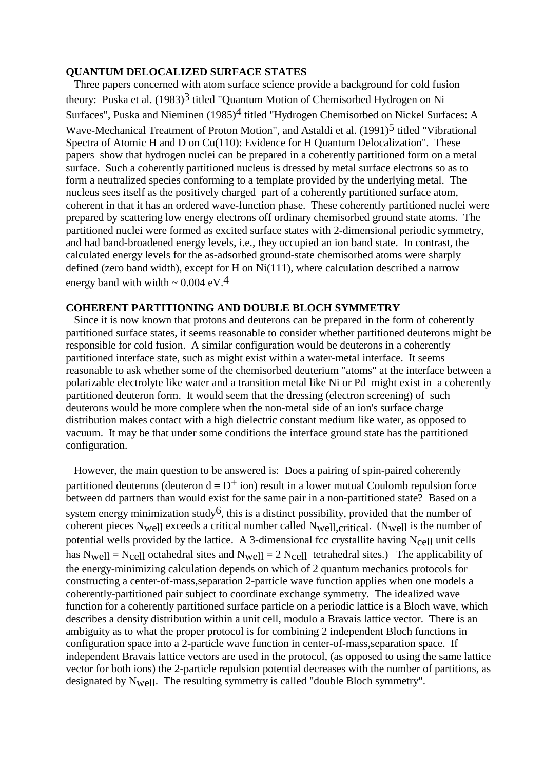### **QUANTUM DELOCALIZED SURFACE STATES**

Three papers concerned with atom surface science provide a background for cold fusion theory: Puska et al. (1983)<sup>3</sup> titled "Quantum Motion of Chemisorbed Hydrogen on Ni Surfaces", Puska and Nieminen (1985)<sup>4</sup> titled "Hydrogen Chemisorbed on Nickel Surfaces: A Wave-Mechanical Treatment of Proton Motion", and Astaldi et al. (1991)<sup>5</sup> titled "Vibrational Spectra of Atomic H and D on Cu(110): Evidence for H Quantum Delocalization". These papers show that hydrogen nuclei can be prepared in a coherently partitioned form on a metal surface. Such a coherently partitioned nucleus is dressed by metal surface electrons so as to form a neutralized species conforming to a template provided by the underlying metal. The nucleus sees itself as the positively charged part of a coherently partitioned surface atom, coherent in that it has an ordered wave-function phase. These coherently partitioned nuclei were prepared by scattering low energy electrons off ordinary chemisorbed ground state atoms. The partitioned nuclei were formed as excited surface states with 2-dimensional periodic symmetry, and had band-broadened energy levels, i.e., they occupied an ion band state. In contrast, the calculated energy levels for the as-adsorbed ground-state chemisorbed atoms were sharply defined (zero band width), except for H on Ni(111), where calculation described a narrow energy band with width  $\sim 0.004$  eV.<sup>4</sup>

#### **COHERENT PARTITIONING AND DOUBLE BLOCH SYMMETRY**

Since it is now known that protons and deuterons can be prepared in the form of coherently partitioned surface states, it seems reasonable to consider whether partitioned deuterons might be responsible for cold fusion. A similar configuration would be deuterons in a coherently partitioned interface state, such as might exist within a water-metal interface. It seems reasonable to ask whether some of the chemisorbed deuterium "atoms" at the interface between a polarizable electrolyte like water and a transition metal like Ni or Pd might exist in a coherently partitioned deuteron form. It would seem that the dressing (electron screening) of such deuterons would be more complete when the non-metal side of an ion's surface charge distribution makes contact with a high dielectric constant medium like water, as opposed to vacuum. It may be that under some conditions the interface ground state has the partitioned configuration.

However, the main question to be answered is: Does a pairing of spin-paired coherently partitioned deuterons (deuteron  $d \equiv D^+$  ion) result in a lower mutual Coulomb repulsion force between dd partners than would exist for the same pair in a non-partitioned state? Based on a system energy minimization study<sup>6</sup>, this is a distinct possibility, provided that the number of coherent pieces  $N_{\text{well}}$  exceeds a critical number called  $N_{\text{well}}$ , critical. ( $N_{\text{well}}$  is the number of potential wells provided by the lattice. A 3-dimensional fcc crystallite having N<sub>cell</sub> unit cells has  $Nwell = Ncell$  octahedral sites and  $Nwell = 2 Ncell$  tetrahedral sites.) The applicability of the energy-minimizing calculation depends on which of 2 quantum mechanics protocols for constructing a center-of-mass,separation 2-particle wave function applies when one models a coherently-partitioned pair subject to coordinate exchange symmetry. The idealized wave function for a coherently partitioned surface particle on a periodic lattice is a Bloch wave, which describes a density distribution within a unit cell, modulo a Bravais lattice vector. There is an ambiguity as to what the proper protocol is for combining 2 independent Bloch functions in configuration space into a 2-particle wave function in center-of-mass,separation space. If independent Bravais lattice vectors are used in the protocol, (as opposed to using the same lattice vector for both ions) the 2-particle repulsion potential decreases with the number of partitions, as designated by Nwell. The resulting symmetry is called "double Bloch symmetry".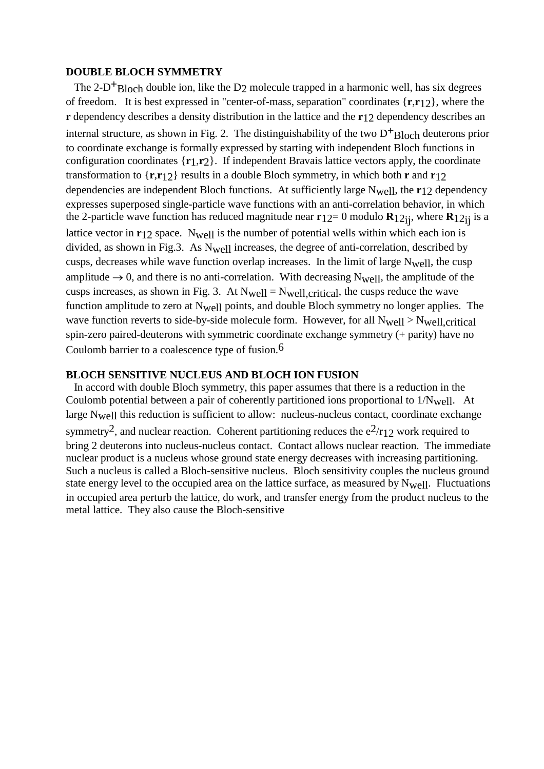#### **DOUBLE BLOCH SYMMETRY**

The 2-D<sup>+</sup>Bloch double ion, like the D<sub>2</sub> molecule trapped in a harmonic well, has six degrees of freedom. It is best expressed in "center-of-mass, separation" coordinates {**r**,**r**12}, where the **r** dependency describes a density distribution in the lattice and the **r**12 dependency describes an internal structure, as shown in Fig. 2. The distinguishability of the two  $D^{+}$ Bloch deuterons prior to coordinate exchange is formally expressed by starting with independent Bloch functions in configuration coordinates {**r**1,**r**2}. If independent Bravais lattice vectors apply, the coordinate transformation to {**r**,**r**12} results in a double Bloch symmetry, in which both **r** and **r**12 dependencies are independent Bloch functions. At sufficiently large Nwell, the **r**12 dependency expresses superposed single-particle wave functions with an anti-correlation behavior, in which the 2-particle wave function has reduced magnitude near  $\mathbf{r}_{12}=0$  modulo  $\mathbf{R}_{12i}$ , where  $\mathbf{R}_{12i}$  is a lattice vector in **r**12 space. Nwell is the number of potential wells within which each ion is divided, as shown in Fig.3. As  $N_{\text{well}}$  increases, the degree of anti-correlation, described by cusps, decreases while wave function overlap increases. In the limit of large  $Nwell$ , the cusp amplitude  $\rightarrow$  0, and there is no anti-correlation. With decreasing N<sub>well</sub>, the amplitude of the cusps increases, as shown in Fig. 3. At  $Nwell = Nwell, critical,$  the cusps reduce the wave function amplitude to zero at  $N_{\text{well}}$  points, and double Bloch symmetry no longer applies. The wave function reverts to side-by-side molecule form. However, for all  $Nwell > Nwell, critical$ spin-zero paired-deuterons with symmetric coordinate exchange symmetry (+ parity) have no Coulomb barrier to a coalescence type of fusion.6

# **BLOCH SENSITIVE NUCLEUS AND BLOCH ION FUSION**

In accord with double Bloch symmetry, this paper assumes that there is a reduction in the Coulomb potential between a pair of coherently partitioned ions proportional to  $1/N_{\text{well}}$ . At large  $N_{\text{well}}$  this reduction is sufficient to allow: nucleus-nucleus contact, coordinate exchange symmetry<sup>2</sup>, and nuclear reaction. Coherent partitioning reduces the  $e^{2/r}12$  work required to bring 2 deuterons into nucleus-nucleus contact. Contact allows nuclear reaction. The immediate nuclear product is a nucleus whose ground state energy decreases with increasing partitioning. Such a nucleus is called a Bloch-sensitive nucleus. Bloch sensitivity couples the nucleus ground state energy level to the occupied area on the lattice surface, as measured by N<sub>well</sub>. Fluctuations in occupied area perturb the lattice, do work, and transfer energy from the product nucleus to the metal lattice. They also cause the Bloch-sensitive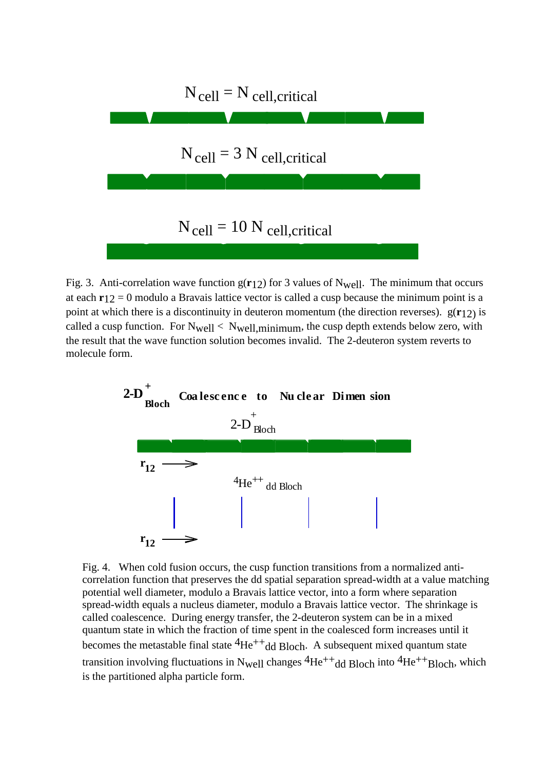

Fig. 3. Anti-correlation wave function g(**r**12) for 3 values of Nwell. The minimum that occurs at each  $r_{12} = 0$  modulo a Bravais lattice vector is called a cusp because the minimum point is a point at which there is a discontinuity in deuteron momentum (the direction reverses). g(**r**12) is called a cusp function. For  $Nwell \leq Nwell$ , minimum, the cusp depth extends below zero, with the result that the wave function solution becomes invalid. The 2-deuteron system reverts to molecule form.



Fig. 4. When cold fusion occurs, the cusp function transitions from a normalized anticorrelation function that preserves the dd spatial separation spread-width at a value matching potential well diameter, modulo a Bravais lattice vector, into a form where separation spread-width equals a nucleus diameter, modulo a Bravais lattice vector. The shrinkage is called coalescence. During energy transfer, the 2-deuteron system can be in a mixed quantum state in which the fraction of time spent in the coalesced form increases until it becomes the metastable final state  ${}^{4}$ He<sup>++</sup>dd Bloch. A subsequent mixed quantum state transition involving fluctuations in N<sub>well</sub> changes  ${}^{4}$ He<sup>++</sup>dd Bloch into  ${}^{4}$ He<sup>++</sup>Bloch, which is the partitioned alpha particle form.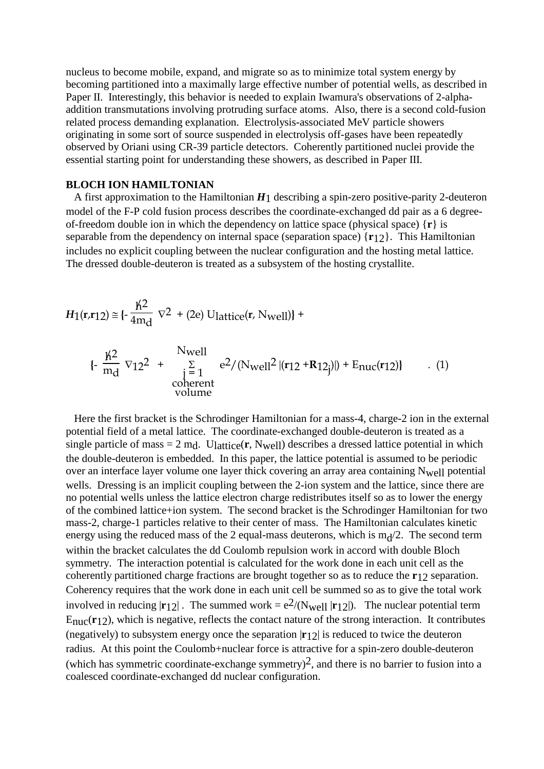nucleus to become mobile, expand, and migrate so as to minimize total system energy by becoming partitioned into a maximally large effective number of potential wells, as described in Paper II. Interestingly, this behavior is needed to explain Iwamura's observations of 2-alphaaddition transmutations involving protruding surface atoms. Also, there is a second cold-fusion related process demanding explanation. Electrolysis-associated MeV particle showers originating in some sort of source suspended in electrolysis off-gases have been repeatedly observed by Oriani using CR-39 particle detectors. Coherently partitioned nuclei provide the essential starting point for understanding these showers, as described in Paper III.

# **BLOCH ION HAMILTONIAN**

A first approximation to the Hamiltonian  $H_1$  describing a spin-zero positive-parity 2-deuteron model of the F-P cold fusion process describes the coordinate-exchanged dd pair as a 6 degreeof-freedom double ion in which the dependency on lattice space (physical space) {**r**} is separable from the dependency on internal space (separation space) {**r**12}. This Hamiltonian includes no explicit coupling between the nuclear configuration and the hosting metal lattice. The dressed double-deuteron is treated as a subsystem of the hosting crystallite.

$$
H_1(\mathbf{r}, \mathbf{r}_{12}) \cong \{-\frac{\hbar^2}{4m_d} \ \nabla^2 \ + (2e) \ \mathrm{Ulattice}(\mathbf{r}, \mathrm{Nwell})\} \ +
$$

$$
\{ -\frac{\text{h}^2}{\text{m}_d} \nabla_{12}^2 + \sum_{\substack{j=1 \ \text{coherent} \\ \text{volume}}}^{\text{Nwell}} e^2 / (\text{Nwell}^2 |(r_{12} + R_{12j})|) + \text{Enuc}(r_{12}) \} \tag{1}
$$

Here the first bracket is the Schrodinger Hamiltonian for a mass-4, charge-2 ion in the external potential field of a metal lattice. The coordinate-exchanged double-deuteron is treated as a single particle of mass  $= 2$  m<sub>d</sub>. U<sub>lattice</sub>( $\bf{r}$ , N<sub>well</sub>) describes a dressed lattice potential in which the double-deuteron is embedded. In this paper, the lattice potential is assumed to be periodic over an interface layer volume one layer thick covering an array area containing Nwell potential wells. Dressing is an implicit coupling between the 2-ion system and the lattice, since there are no potential wells unless the lattice electron charge redistributes itself so as to lower the energy of the combined lattice+ion system. The second bracket is the Schrodinger Hamiltonian for two mass-2, charge-1 particles relative to their center of mass. The Hamiltonian calculates kinetic energy using the reduced mass of the 2 equal-mass deuterons, which is  $m_d/2$ . The second term within the bracket calculates the dd Coulomb repulsion work in accord with double Bloch symmetry. The interaction potential is calculated for the work done in each unit cell as the coherently partitioned charge fractions are brought together so as to reduce the **r**12 separation. Coherency requires that the work done in each unit cell be summed so as to give the total work involved in reducing  $|\mathbf{r}_{12}|$ . The summed work =  $e^{2}/(\text{Nwell} |\mathbf{r}_{12}|)$ . The nuclear potential term E<sub>nuc</sub>(**r**<sub>12</sub>), which is negative, reflects the contact nature of the strong interaction. It contributes (negatively) to subsystem energy once the separation |**r**12| is reduced to twice the deuteron radius. At this point the Coulomb+nuclear force is attractive for a spin-zero double-deuteron (which has symmetric coordinate-exchange symmetry)<sup>2</sup>, and there is no barrier to fusion into a coalesced coordinate-exchanged dd nuclear configuration.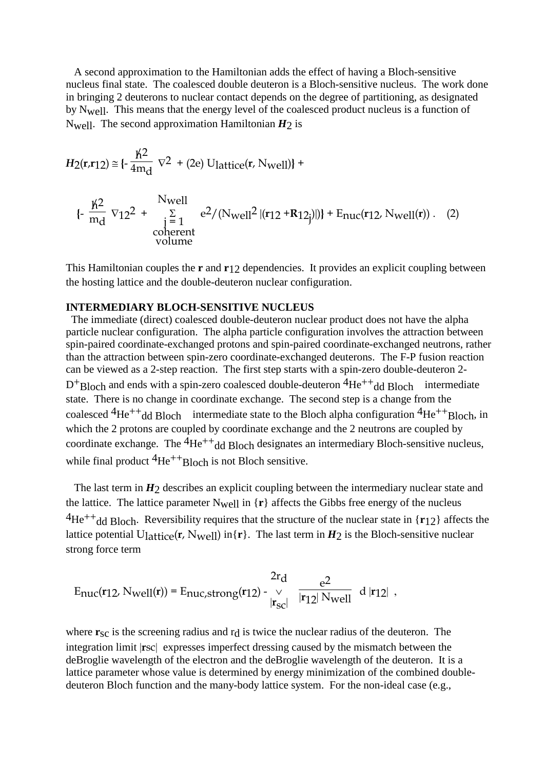A second approximation to the Hamiltonian adds the effect of having a Bloch-sensitive nucleus final state. The coalesced double deuteron is a Bloch-sensitive nucleus. The work done in bringing 2 deuterons to nuclear contact depends on the degree of partitioning, as designated by Nwell. This means that the energy level of the coalesced product nucleus is a function of N<sub>well</sub>. The second approximation Hamiltonian  $H_2$  is

$$
H_2(\mathbf{r}, \mathbf{r}_{12}) \cong \{-\frac{\hbar^2}{4m_d} \nabla^2 + (2e) \text{ Ulattice}(\mathbf{r}, \text{ Nwell})\} + \}
$$
  

$$
\{-\frac{\hbar^2}{m_d} \nabla_{12}^2 + \sum_{\substack{j=1 \text{ coherent} \\ \text{volume}}}^{\text{Nwell}} e^2 / (\text{Nwell}^2 |(\mathbf{r}_{12} + \mathbf{R}_{12j})|) + \text{E}_{\text{nuc}}(\mathbf{r}_{12}, \text{ Nwell}(\mathbf{r})) . \tag{2}
$$

This Hamiltonian couples the **r** and **r**12 dependencies. It provides an explicit coupling between the hosting lattice and the double-deuteron nuclear configuration.

## **INTERMEDIARY BLOCH-SENSITIVE NUCLEUS**

The immediate (direct) coalesced double-deuteron nuclear product does not have the alpha particle nuclear configuration. The alpha particle configuration involves the attraction between spin-paired coordinate-exchanged protons and spin-paired coordinate-exchanged neutrons, rather than the attraction between spin-zero coordinate-exchanged deuterons. The F-P fusion reaction can be viewed as a 2-step reaction. The first step starts with a spin-zero double-deuteron 2-  $D^+$ Bloch and ends with a spin-zero coalesced double-deuteron  ${}^4He^{++}$ dd Bloch intermediate state. There is no change in coordinate exchange. The second step is a change from the coalesced  ${}^{4}$ He<sup>++</sup>dd Bloch intermediate state to the Bloch alpha configuration  ${}^{4}$ He<sup>++</sup>Bloch, in which the 2 protons are coupled by coordinate exchange and the 2 neutrons are coupled by coordinate exchange. The  ${}^{4}$ He<sup>++</sup>dd Bloch designates an intermediary Bloch-sensitive nucleus, while final product  ${}^{4}$ He<sup>++</sup>Bloch is not Bloch sensitive.

The last term in  $H_2$  describes an explicit coupling between the intermediary nuclear state and the lattice. The lattice parameter Nwell in {**r**} affects the Gibbs free energy of the nucleus 4He++dd Bloch. Reversibility requires that the structure of the nuclear state in {**r**12} affects the lattice potential  $U_{\text{lattice}}(r, N_{\text{well}})$  in{**r**}. The last term in  $H_2$  is the Bloch-sensitive nuclear strong force term

$$
E_{\text{nuc}}(\mathbf{r}_{12}, \text{Nwell}(\mathbf{r})) = E_{\text{nuc,strong}}(\mathbf{r}_{12}) - \frac{2r_d}{|\mathbf{r}_{sc}|} \frac{e^2}{|\mathbf{r}_{12}| \text{Nwell}} d |\mathbf{r}_{12}|,
$$

where **r**<sub>SC</sub> is the screening radius and r<sub>d</sub> is twice the nuclear radius of the deuteron. The integration limit  $|\mathbf{r} s c|$  expresses imperfect dressing caused by the mismatch between the deBroglie wavelength of the electron and the deBroglie wavelength of the deuteron. It is a lattice parameter whose value is determined by energy minimization of the combined doubledeuteron Bloch function and the many-body lattice system. For the non-ideal case (e.g.,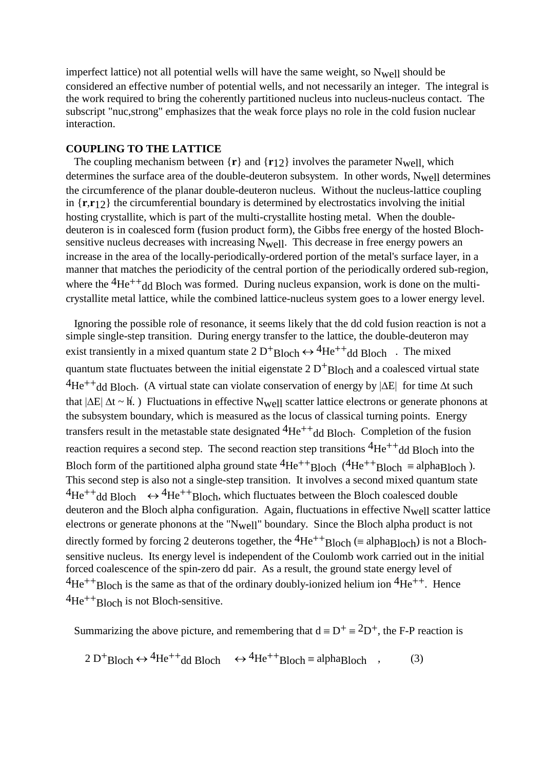imperfect lattice) not all potential wells will have the same weight, so Nwell should be considered an effective number of potential wells, and not necessarily an integer. The integral is the work required to bring the coherently partitioned nucleus into nucleus-nucleus contact. The subscript "nuc,strong" emphasizes that the weak force plays no role in the cold fusion nuclear interaction.

# **COUPLING TO THE LATTICE**

The coupling mechanism between  $\{r\}$  and  $\{r_12\}$  involves the parameter N<sub>well</sub>, which determines the surface area of the double-deuteron subsystem. In other words,  $N_{\text{well}}$  determines the circumference of the planar double-deuteron nucleus. Without the nucleus-lattice coupling in {**r**,**r**12} the circumferential boundary is determined by electrostatics involving the initial hosting crystallite, which is part of the multi-crystallite hosting metal. When the doubledeuteron is in coalesced form (fusion product form), the Gibbs free energy of the hosted Blochsensitive nucleus decreases with increasing  $N_{\text{well}}$ . This decrease in free energy powers an increase in the area of the locally-periodically-ordered portion of the metal's surface layer, in a manner that matches the periodicity of the central portion of the periodically ordered sub-region, where the  ${}^{4}He^{++}$ dd Bloch was formed. During nucleus expansion, work is done on the multicrystallite metal lattice, while the combined lattice-nucleus system goes to a lower energy level.

Ignoring the possible role of resonance, it seems likely that the dd cold fusion reaction is not a simple single-step transition. During energy transfer to the lattice, the double-deuteron may exist transiently in a mixed quantum state  $2 D^{+}$ Bloch  $\leftrightarrow$  <sup>4</sup>He<sup>++</sup>dd Bloch . The mixed quantum state fluctuates between the initial eigenstate  $2 D^{+}$ Bloch and a coalesced virtual state  $^{4}$ He<sup>++</sup>dd Bloch. (A virtual state can violate conservation of energy by  $|\Delta E|$  for time  $\Delta t$  such that  $|\Delta E| \Delta t \sim \dot{h}$ .) Fluctuations in effective N<sub>well</sub> scatter lattice electrons or generate phonons at the subsystem boundary, which is measured as the locus of classical turning points. Energy transfers result in the metastable state designated  ${}^{4}$ He<sup>++</sup>dd Bloch. Completion of the fusion reaction requires a second step. The second reaction step transitions  ${}^{4}He^{++}dA$  Bloch into the Bloch form of the partitioned alpha ground state  ${}^{4}He^{++}Bloch ({}^{4}He^{++}Bloch = alphaBloch ).$ This second step is also not a single-step transition. It involves a second mixed quantum state  ${}^{4}He^{++}$ dd Bloch  $\leftrightarrow {}^{4}He^{++}$ Bloch, which fluctuates between the Bloch coalesced double deuteron and the Bloch alpha configuration. Again, fluctuations in effective N<sub>well</sub> scatter lattice electrons or generate phonons at the "Nwell" boundary. Since the Bloch alpha product is not directly formed by forcing 2 deuterons together, the <sup>4</sup>He<sup>++</sup>Bloch (= alpha<sub>Bloch</sub>) is not a Blochsensitive nucleus. Its energy level is independent of the Coulomb work carried out in the initial forced coalescence of the spin-zero dd pair. As a result, the ground state energy level of  $4He^{++}Bloch$  is the same as that of the ordinary doubly-ionized helium ion  $4He^{++}$ . Hence  $^{4}$ He<sup>++</sup>Bloch is not Bloch-sensitive.

Summarizing the above picture, and remembering that  $d = D^+ = {}^2D^+$ , the F-P reaction is

$$
2 D^{+} \text{Bloch} \leftrightarrow {}^{4} \text{He}^{++} \text{dd Bloch} \quad \leftrightarrow {}^{4} \text{He}^{++} \text{Bloch} \equiv \text{alphaploch} \quad , \tag{3}
$$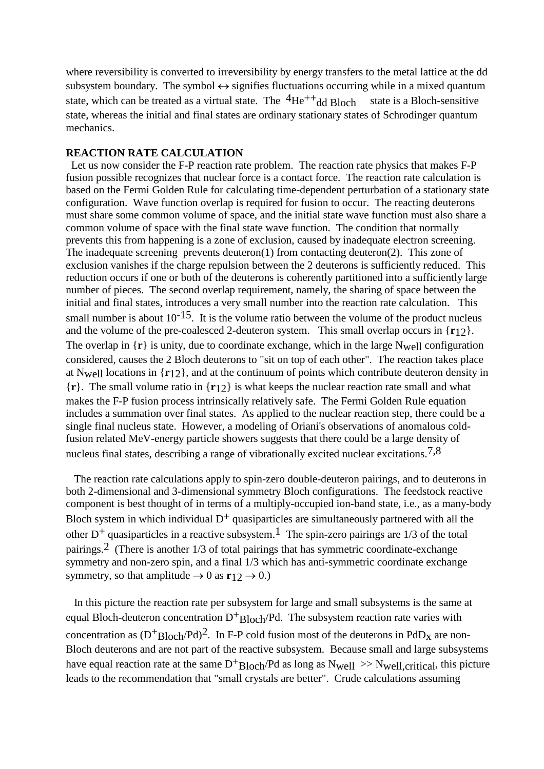where reversibility is converted to irreversibility by energy transfers to the metal lattice at the dd subsystem boundary. The symbol  $\leftrightarrow$  signifies fluctuations occurring while in a mixed quantum state, which can be treated as a virtual state. The  ${}^{4}He^{++}$ dd Bloch state is a Bloch-sensitive state, whereas the initial and final states are ordinary stationary states of Schrodinger quantum mechanics.

# **REACTION RATE CALCULATION**

Let us now consider the F-P reaction rate problem. The reaction rate physics that makes F-P fusion possible recognizes that nuclear force is a contact force. The reaction rate calculation is based on the Fermi Golden Rule for calculating time-dependent perturbation of a stationary state configuration. Wave function overlap is required for fusion to occur. The reacting deuterons must share some common volume of space, and the initial state wave function must also share a common volume of space with the final state wave function. The condition that normally prevents this from happening is a zone of exclusion, caused by inadequate electron screening. The inadequate screening prevents deuteron(1) from contacting deuteron(2). This zone of exclusion vanishes if the charge repulsion between the 2 deuterons is sufficiently reduced. This reduction occurs if one or both of the deuterons is coherently partitioned into a sufficiently large number of pieces. The second overlap requirement, namely, the sharing of space between the initial and final states, introduces a very small number into the reaction rate calculation. This small number is about  $10^{-15}$ . It is the volume ratio between the volume of the product nucleus and the volume of the pre-coalesced 2-deuteron system. This small overlap occurs in {**r**12}. The overlap in  $\{r\}$  is unity, due to coordinate exchange, which in the large N<sub>well</sub> configuration considered, causes the 2 Bloch deuterons to "sit on top of each other". The reaction takes place at Nwell locations in {**r**12}, and at the continuum of points which contribute deuteron density in {**r**}. The small volume ratio in {**r**12} is what keeps the nuclear reaction rate small and what makes the F-P fusion process intrinsically relatively safe. The Fermi Golden Rule equation includes a summation over final states. As applied to the nuclear reaction step, there could be a single final nucleus state. However, a modeling of Oriani's observations of anomalous coldfusion related MeV-energy particle showers suggests that there could be a large density of nucleus final states, describing a range of vibrationally excited nuclear excitations.7,8

The reaction rate calculations apply to spin-zero double-deuteron pairings, and to deuterons in both 2-dimensional and 3-dimensional symmetry Bloch configurations. The feedstock reactive component is best thought of in terms of a multiply-occupied ion-band state, i.e., as a many-body Bloch system in which individual  $D^+$  quasiparticles are simultaneously partnered with all the other  $D^+$  quasiparticles in a reactive subsystem.<sup>1</sup> The spin-zero pairings are 1/3 of the total pairings.2 (There is another 1/3 of total pairings that has symmetric coordinate-exchange symmetry and non-zero spin, and a final 1/3 which has anti-symmetric coordinate exchange symmetry, so that amplitude  $\rightarrow 0$  as  $\mathbf{r}_1 \rightarrow 0$ .)

In this picture the reaction rate per subsystem for large and small subsystems is the same at equal Bloch-deuteron concentration  $D^+B$ loch/Pd. The subsystem reaction rate varies with concentration as  $(D^{+}B_{0c}h/Pd)^{2}$ . In F-P cold fusion most of the deuterons in PdD<sub>x</sub> are non-Bloch deuterons and are not part of the reactive subsystem. Because small and large subsystems have equal reaction rate at the same  $D^{+}B$ loch/Pd as long as Nwell  $\gg$  Nwell, critical, this picture leads to the recommendation that "small crystals are better". Crude calculations assuming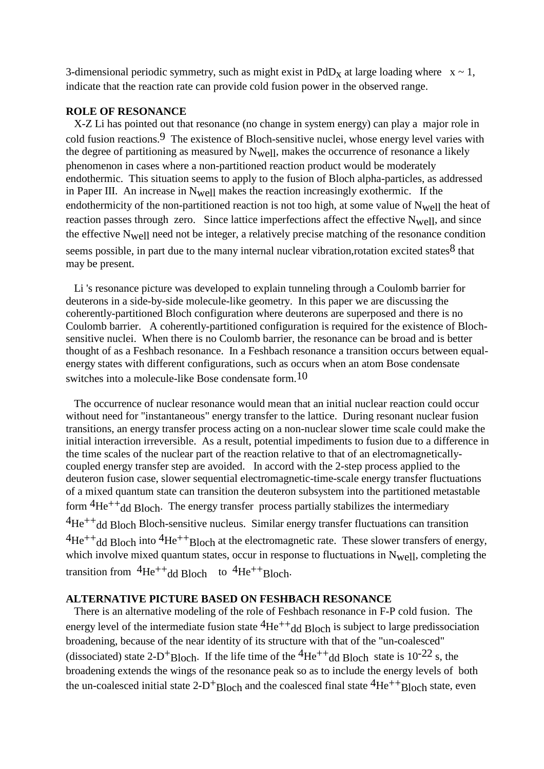3-dimensional periodic symmetry, such as might exist in  $PdD<sub>x</sub>$  at large loading where  $x \sim 1$ , indicate that the reaction rate can provide cold fusion power in the observed range.

# **ROLE OF RESONANCE**

X-Z Li has pointed out that resonance (no change in system energy) can play a major role in cold fusion reactions.<sup>9</sup> The existence of Bloch-sensitive nuclei, whose energy level varies with the degree of partitioning as measured by  $N_{\text{well}}$ , makes the occurrence of resonance a likely phenomenon in cases where a non-partitioned reaction product would be moderately endothermic. This situation seems to apply to the fusion of Bloch alpha-particles, as addressed in Paper III. An increase in Nwell makes the reaction increasingly exothermic. If the endothermicity of the non-partitioned reaction is not too high, at some value of  $N_{\text{well}}$  the heat of reaction passes through zero. Since lattice imperfections affect the effective  $N_{\text{well}}$ , and since the effective Nwell need not be integer, a relatively precise matching of the resonance condition seems possible, in part due to the many internal nuclear vibration, rotation excited states $8$  that may be present.

Li 's resonance picture was developed to explain tunneling through a Coulomb barrier for deuterons in a side-by-side molecule-like geometry. In this paper we are discussing the coherently-partitioned Bloch configuration where deuterons are superposed and there is no Coulomb barrier. A coherently-partitioned configuration is required for the existence of Blochsensitive nuclei. When there is no Coulomb barrier, the resonance can be broad and is better thought of as a Feshbach resonance. In a Feshbach resonance a transition occurs between equalenergy states with different configurations, such as occurs when an atom Bose condensate switches into a molecule-like Bose condensate form 10

The occurrence of nuclear resonance would mean that an initial nuclear reaction could occur without need for "instantaneous" energy transfer to the lattice. During resonant nuclear fusion transitions, an energy transfer process acting on a non-nuclear slower time scale could make the initial interaction irreversible. As a result, potential impediments to fusion due to a difference in the time scales of the nuclear part of the reaction relative to that of an electromagneticallycoupled energy transfer step are avoided. In accord with the 2-step process applied to the deuteron fusion case, slower sequential electromagnetic-time-scale energy transfer fluctuations of a mixed quantum state can transition the deuteron subsystem into the partitioned metastable form  ${}^{4}$ He<sup>++</sup>dd Bloch. The energy transfer process partially stabilizes the intermediary 4He++dd Bloch Bloch-sensitive nucleus. Similar energy transfer fluctuations can transition  $^{4}$ He<sup>++</sup>dd Bloch into  $^{4}$ He<sup>++</sup>Bloch at the electromagnetic rate. These slower transfers of energy, which involve mixed quantum states, occur in response to fluctuations in  $N_{\text{well}}$ , completing the transition from  ${}^{4}$ He<sup>++</sup>dd Bloch to  ${}^{4}$ He<sup>++</sup>Bloch.

# **ALTERNATIVE PICTURE BASED ON FESHBACH RESONANCE**

There is an alternative modeling of the role of Feshbach resonance in F-P cold fusion. The energy level of the intermediate fusion state  ${}^{4}He^{++}$ dd Bloch is subject to large predissociation broadening, because of the near identity of its structure with that of the "un-coalesced" (dissociated) state 2-D<sup>+</sup>Bloch. If the life time of the <sup>4</sup>He<sup>++</sup>dd Bloch state is 10<sup>-22</sup> s, the broadening extends the wings of the resonance peak so as to include the energy levels of both the un-coalesced initial state  $2-D^{+}$ Bloch and the coalesced final state  $^{4}$ He<sup>++</sup>Bloch state, even